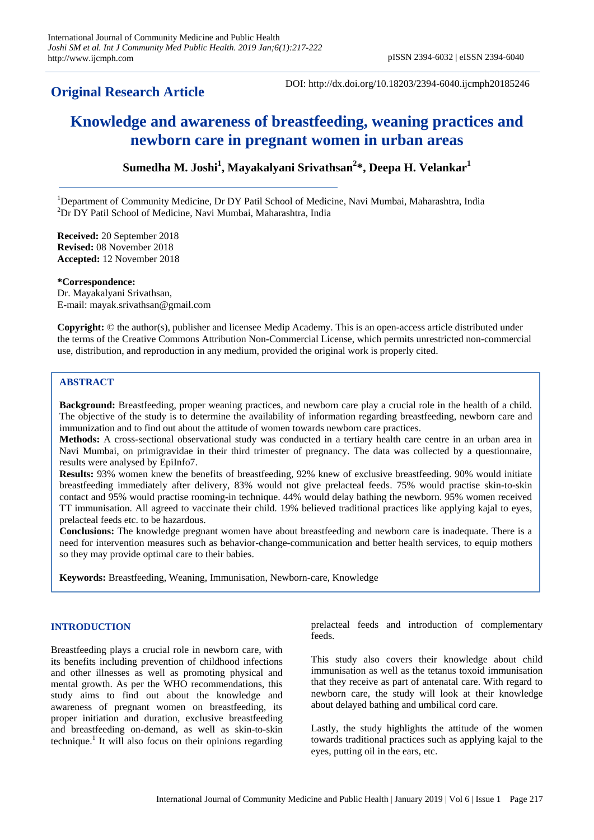# **Original Research Article**

DOI: http://dx.doi.org/10.18203/2394-6040.ijcmph20185246

# **Knowledge and awareness of breastfeeding, weaning practices and newborn care in pregnant women in urban areas**

**Sumedha M. Joshi<sup>1</sup> , Mayakalyani Srivathsan<sup>2</sup> \*, Deepa H. Velankar<sup>1</sup>**

<sup>1</sup>Department of Community Medicine, Dr DY Patil School of Medicine, Navi Mumbai, Maharashtra, India <sup>2</sup>Dr DY Patil School of Medicine, Navi Mumbai, Maharashtra, India

**Received:** 20 September 2018 **Revised:** 08 November 2018 **Accepted:** 12 November 2018

**\*Correspondence:** Dr. Mayakalyani Srivathsan,

E-mail: mayak.srivathsan@gmail.com

**Copyright:** © the author(s), publisher and licensee Medip Academy. This is an open-access article distributed under the terms of the Creative Commons Attribution Non-Commercial License, which permits unrestricted non-commercial use, distribution, and reproduction in any medium, provided the original work is properly cited.

## **ABSTRACT**

**Background:** Breastfeeding, proper weaning practices, and newborn care play a crucial role in the health of a child. The objective of the study is to determine the availability of information regarding breastfeeding, newborn care and immunization and to find out about the attitude of women towards newborn care practices.

**Methods:** A cross-sectional observational study was conducted in a tertiary health care centre in an urban area in Navi Mumbai, on primigravidae in their third trimester of pregnancy. The data was collected by a questionnaire, results were analysed by EpiInfo7.

**Results:** 93% women knew the benefits of breastfeeding, 92% knew of exclusive breastfeeding. 90% would initiate breastfeeding immediately after delivery, 83% would not give prelacteal feeds. 75% would practise skin-to-skin contact and 95% would practise rooming-in technique. 44% would delay bathing the newborn. 95% women received TT immunisation. All agreed to vaccinate their child. 19% believed traditional practices like applying kajal to eyes, prelacteal feeds etc. to be hazardous.

**Conclusions:** The knowledge pregnant women have about breastfeeding and newborn care is inadequate. There is a need for intervention measures such as behavior-change-communication and better health services, to equip mothers so they may provide optimal care to their babies.

**Keywords:** Breastfeeding, Weaning, Immunisation, Newborn-care, Knowledge

#### **INTRODUCTION**

Breastfeeding plays a crucial role in newborn care, with its benefits including prevention of childhood infections and other illnesses as well as promoting physical and mental growth. As per the WHO recommendations, this study aims to find out about the knowledge and awareness of pregnant women on breastfeeding, its proper initiation and duration, exclusive breastfeeding and breastfeeding on-demand, as well as skin-to-skin technique.<sup>1</sup> It will also focus on their opinions regarding prelacteal feeds and introduction of complementary feeds.

This study also covers their knowledge about child immunisation as well as the tetanus toxoid immunisation that they receive as part of antenatal care. With regard to newborn care, the study will look at their knowledge about delayed bathing and umbilical cord care.

Lastly, the study highlights the attitude of the women towards traditional practices such as applying kajal to the eyes, putting oil in the ears, etc.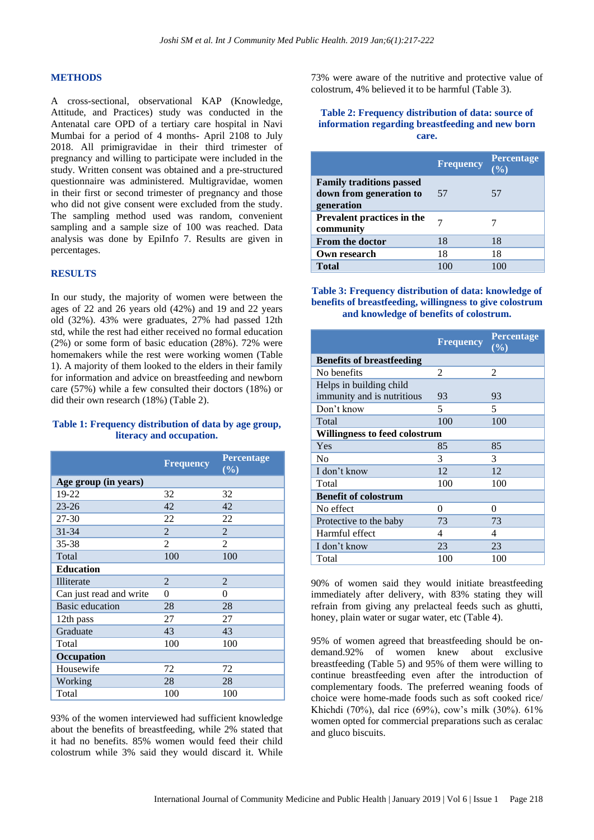#### **METHODS**

A cross-sectional, observational KAP (Knowledge, Attitude, and Practices) study was conducted in the Antenatal care OPD of a tertiary care hospital in Navi Mumbai for a period of 4 months- April 2108 to July 2018. All primigravidae in their third trimester of pregnancy and willing to participate were included in the study. Written consent was obtained and a pre-structured questionnaire was administered. Multigravidae, women in their first or second trimester of pregnancy and those who did not give consent were excluded from the study. The sampling method used was random, convenient sampling and a sample size of 100 was reached. Data analysis was done by EpiInfo 7. Results are given in percentages.

#### **RESULTS**

In our study, the majority of women were between the ages of 22 and 26 years old (42%) and 19 and 22 years old (32%). 43% were graduates, 27% had passed 12th std, while the rest had either received no formal education (2%) or some form of basic education (28%). 72% were homemakers while the rest were working women (Table 1). A majority of them looked to the elders in their family for information and advice on breastfeeding and newborn care (57%) while a few consulted their doctors (18%) or did their own research (18%) (Table 2).

### **Table 1: Frequency distribution of data by age group, literacy and occupation.**

|                         | <b>Frequency</b> | Percentage<br>(%) |
|-------------------------|------------------|-------------------|
| Age group (in years)    |                  |                   |
| 19-22                   | 32               | 32                |
| $23 - 26$               | 42               | 42                |
| 27-30                   | 22               | 22                |
| $31 - 34$               | $\overline{2}$   | 2                 |
| 35-38                   | $\overline{2}$   | 2                 |
| Total                   | 100              | 100               |
| <b>Education</b>        |                  |                   |
| Illiterate              | $\mathfrak{D}$   | $\overline{2}$    |
| Can just read and write | $\theta$         | $\theta$          |
| <b>Basic</b> education  | 28               | 28                |
| 12th pass               | 27               | 27                |
| Graduate                | 43               | 43                |
| Total                   | 100              | 100               |
| Occupation              |                  |                   |
| Housewife               | 72               | 72                |
| Working                 | 28               | 28                |
| Total                   | 100              | 100               |

93% of the women interviewed had sufficient knowledge about the benefits of breastfeeding, while 2% stated that it had no benefits. 85% women would feed their child colostrum while 3% said they would discard it. While

73% were aware of the nutritive and protective value of colostrum, 4% believed it to be harmful (Table 3).

#### **Table 2: Frequency distribution of data: source of information regarding breastfeeding and new born care.**

|                                                                          | <b>Frequency</b> | <b>Percentage</b> |
|--------------------------------------------------------------------------|------------------|-------------------|
| <b>Family traditions passed</b><br>down from generation to<br>generation | 57               | 57                |
| Prevalent practices in the<br>community                                  |                  |                   |
| <b>From the doctor</b>                                                   | 18               | 18                |
| Own research                                                             | 18               | 18                |
| <b>Total</b>                                                             | 100              |                   |

**Table 3: Frequency distribution of data: knowledge of benefits of breastfeeding, willingness to give colostrum and knowledge of benefits of colostrum.**

|                                  | <b>Frequency</b> | <b>Percentage</b><br>(%) |
|----------------------------------|------------------|--------------------------|
| <b>Benefits of breastfeeding</b> |                  |                          |
| No benefits                      | 2                | 2                        |
| Helps in building child          |                  |                          |
| immunity and is nutritious       | 93               | 93                       |
| Don't know                       | 5                | 5                        |
| Total                            | 100              | 100                      |
| Willingness to feed colostrum    |                  |                          |
| Yes                              | 85               | 85                       |
| N <sub>0</sub>                   | 3                | 3                        |
| I don't know                     | 12               | 12                       |
| Total                            | 100              | 100                      |
| <b>Benefit of colostrum</b>      |                  |                          |
| No effect                        | $\theta$         | 0                        |
| Protective to the baby           | 73               | 73                       |
| Harmful effect                   | 4                | 4                        |
| I don't know                     | 23               | 23                       |
| Total                            | 100              | 100                      |

90% of women said they would initiate breastfeeding immediately after delivery, with 83% stating they will refrain from giving any prelacteal feeds such as ghutti, honey, plain water or sugar water, etc (Table 4).

95% of women agreed that breastfeeding should be ondemand.92% of women knew about exclusive breastfeeding (Table 5) and 95% of them were willing to continue breastfeeding even after the introduction of complementary foods. The preferred weaning foods of choice were home-made foods such as soft cooked rice/ Khichdi (70%), dal rice (69%), cow's milk (30%). 61% women opted for commercial preparations such as ceralac and gluco biscuits.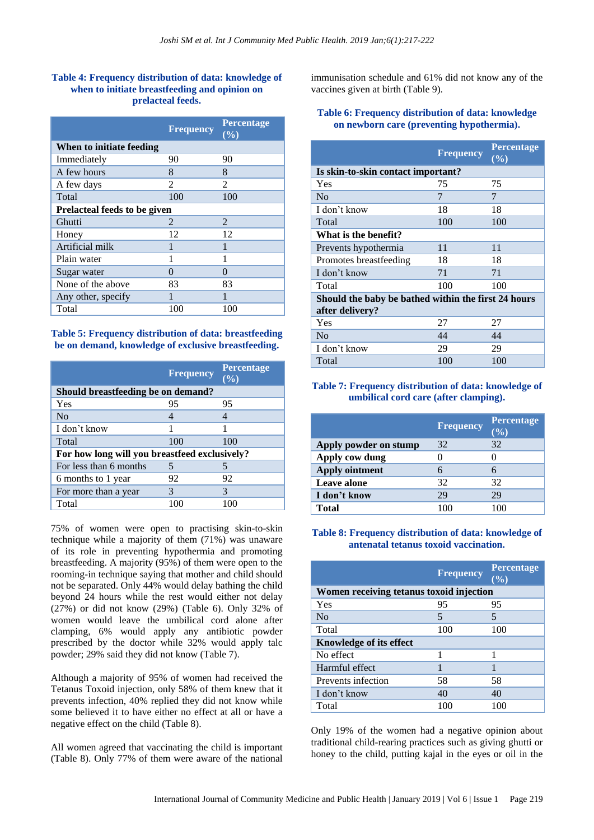# **Table 4: Frequency distribution of data: knowledge of when to initiate breastfeeding and opinion on prelacteal feeds.**

|                                     | <b>Frequency</b> | <b>Percentage</b><br>(9/0) |
|-------------------------------------|------------------|----------------------------|
| When to initiate feeding            |                  |                            |
| Immediately                         | 90               | 90                         |
| A few hours                         | 8                | 8                          |
| A few days                          | $\mathfrak{D}$   | $\mathcal{L}$              |
| Total                               | 100              | 100                        |
| <b>Prelacteal feeds to be given</b> |                  |                            |
| Ghutti                              | $\mathcal{L}$    | 2                          |
| Honey                               | 12               | 12                         |
| Artificial milk                     |                  |                            |
| Plain water                         |                  |                            |
| Sugar water                         | 0                | $\mathcal{O}$              |
| None of the above                   | 83               | 83                         |
| Any other, specify                  |                  |                            |
| Total                               | 100              | 100                        |

### **Table 5: Frequency distribution of data: breastfeeding be on demand, knowledge of exclusive breastfeeding.**

|                                               | <b>Frequency</b> | <b>Percentage</b><br>(%) |
|-----------------------------------------------|------------------|--------------------------|
| Should breastfeeding be on demand?            |                  |                          |
| Yes                                           | 95               | 95                       |
| N <sub>0</sub>                                | 4                | 4                        |
| I don't know                                  |                  |                          |
| Total                                         | 100              | 100                      |
| For how long will you breastfeed exclusively? |                  |                          |
| For less than 6 months                        | 5                | 5                        |
| 6 months to 1 year                            | 92               | 92                       |
| For more than a year                          | 3                | 3                        |
| Total                                         |                  |                          |

75% of women were open to practising skin-to-skin technique while a majority of them (71%) was unaware of its role in preventing hypothermia and promoting breastfeeding. A majority (95%) of them were open to the rooming-in technique saying that mother and child should not be separated. Only 44% would delay bathing the child beyond 24 hours while the rest would either not delay (27%) or did not know (29%) (Table 6). Only 32% of women would leave the umbilical cord alone after clamping, 6% would apply any antibiotic powder prescribed by the doctor while 32% would apply talc powder; 29% said they did not know (Table 7).

Although a majority of 95% of women had received the Tetanus Toxoid injection, only 58% of them knew that it prevents infection, 40% replied they did not know while some believed it to have either no effect at all or have a negative effect on the child (Table 8).

All women agreed that vaccinating the child is important (Table 8). Only 77% of them were aware of the national immunisation schedule and 61% did not know any of the vaccines given at birth (Table 9).

# **Table 6: Frequency distribution of data: knowledge on newborn care (preventing hypothermia).**

|                                                     | <b>Frequency</b> | <b>Percentage</b><br>(%) |
|-----------------------------------------------------|------------------|--------------------------|
| Is skin-to-skin contact important?                  |                  |                          |
| Yes                                                 | 75               | 75                       |
| N <sub>0</sub>                                      | 7                | 7                        |
| I don't know                                        | 18               | 18                       |
| Total                                               | 100              | 100                      |
| What is the benefit?                                |                  |                          |
| Prevents hypothermia                                | 11               | 11                       |
| Promotes breastfeeding                              | 18               | 18                       |
| I don't know                                        | 71               | 71                       |
| Total                                               | 100              | 100                      |
| Should the baby be bathed within the first 24 hours |                  |                          |
| after delivery?                                     |                  |                          |
| Yes                                                 | 27               | 27                       |
| No                                                  | 44               | 44                       |
| I don't know                                        | 29               | 29                       |
| Total                                               | 100              | 100                      |

# **Table 7: Frequency distribution of data: knowledge of umbilical cord care (after clamping).**

|                       | <b>Frequency</b> | Percentage |
|-----------------------|------------------|------------|
| Apply powder on stump | 32               | 32         |
| Apply cow dung        |                  |            |
| <b>Apply ointment</b> |                  |            |
| <b>Leave alone</b>    | 32               | 32         |
| I don't know          | 29               | 29         |
| Total                 | 100              |            |

## **Table 8: Frequency distribution of data: knowledge of antenatal tetanus toxoid vaccination.**

|                                          | <b>Frequency</b> | <b>Percentage</b><br>$(\overline{\frac{9}{6}})$ |
|------------------------------------------|------------------|-------------------------------------------------|
| Women receiving tetanus toxoid injection |                  |                                                 |
| Yes                                      | 95               | 95                                              |
| No                                       | 5                | 5                                               |
| Total                                    | 100              | 100                                             |
| Knowledge of its effect                  |                  |                                                 |
| No effect                                |                  |                                                 |
| Harmful effect                           |                  |                                                 |
| Prevents infection                       | 58               | 58                                              |
| I don't know                             | 40               | 40                                              |
| Total                                    | 100              | 100                                             |

Only 19% of the women had a negative opinion about traditional child-rearing practices such as giving ghutti or honey to the child, putting kajal in the eyes or oil in the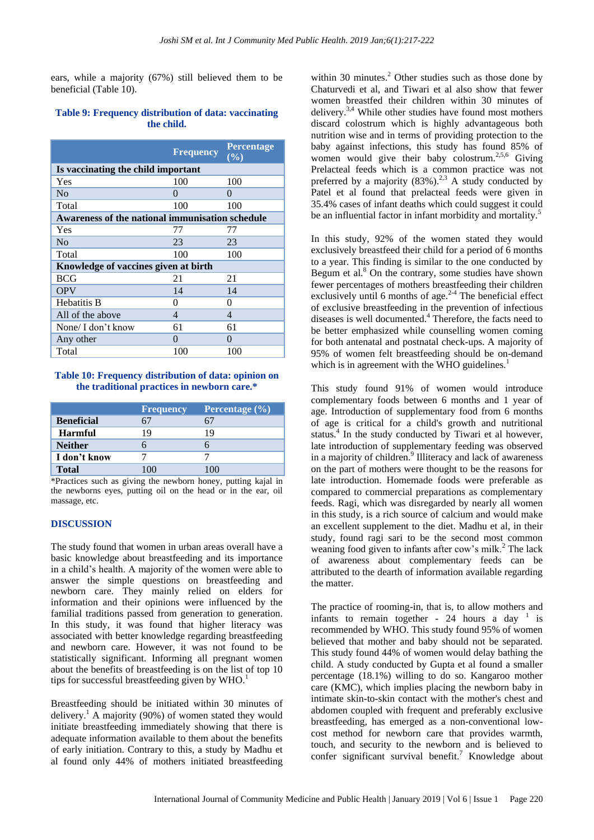ears, while a majority (67%) still believed them to be beneficial (Table 10).

#### **Table 9: Frequency distribution of data: vaccinating the child.**

|                                                 | <b>Frequency</b>         | <b>Percentage</b><br>$($ %) |
|-------------------------------------------------|--------------------------|-----------------------------|
| Is vaccinating the child important              |                          |                             |
| Yes                                             | 100                      | 100                         |
| N <sub>0</sub>                                  | 0                        | 0                           |
| Total                                           | 100                      | 100                         |
| Awareness of the national immunisation schedule |                          |                             |
| Yes                                             | 77                       | 77                          |
| N <sub>0</sub>                                  | 23                       | 23                          |
| Total                                           | 100                      | 100                         |
| Knowledge of vaccines given at birth            |                          |                             |
| <b>BCG</b>                                      | 21                       | 21                          |
| <b>OPV</b>                                      | 14                       | 14                          |
| <b>Hebatitis B</b>                              | 0                        | 0                           |
| All of the above                                | $\overline{\mathcal{A}}$ | 4                           |
| None/ I don't know                              | 61                       | 61                          |
| Any other                                       | $\Omega$                 | $\Omega$                    |
| Total                                           | 100                      | 100                         |

#### **Table 10: Frequency distribution of data: opinion on the traditional practices in newborn care.\***

|                   | <b>Frequency</b> | <b>Percentage</b> $(\%)$ |
|-------------------|------------------|--------------------------|
| <b>Beneficial</b> |                  |                          |
| <b>Harmful</b>    | 19               | 19                       |
| <b>Neither</b>    |                  |                          |
| I don't know      |                  |                          |
| <b>Total</b>      | $(\mathcal{X})$  |                          |

\*Practices such as giving the newborn honey, putting kajal in the newborns eyes, putting oil on the head or in the ear, oil massage, etc.

## **DISCUSSION**

The study found that women in urban areas overall have a basic knowledge about breastfeeding and its importance in a child's health. A majority of the women were able to answer the simple questions on breastfeeding and newborn care. They mainly relied on elders for information and their opinions were influenced by the familial traditions passed from generation to generation. In this study, it was found that higher literacy was associated with better knowledge regarding breastfeeding and newborn care. However, it was not found to be statistically significant. Informing all pregnant women about the benefits of breastfeeding is on the list of top 10 tips for successful breastfeeding given by  $WHO<sup>1</sup>$ .

Breastfeeding should be initiated within 30 minutes of delivery.<sup>1</sup> A majority (90%) of women stated they would initiate breastfeeding immediately showing that there is adequate information available to them about the benefits of early initiation. Contrary to this, a study by Madhu et al found only 44% of mothers initiated breastfeeding within 30 minutes. $^{2}$  Other studies such as those done by Chaturvedi et al, and Tiwari et al also show that fewer women breastfed their children within 30 minutes of delivery. $3,4$  While other studies have found most mothers discard colostrum which is highly advantageous both nutrition wise and in terms of providing protection to the baby against infections, this study has found 85% of women would give their baby colostrum.<sup>2,5,6</sup> Giving Prelacteal feeds which is a common practice was not preferred by a majority  $(83\%)$ .<sup>2,3</sup> A study conducted by Patel et al found that prelacteal feeds were given in 35.4% cases of infant deaths which could suggest it could be an influential factor in infant morbidity and mortality.<sup>5</sup>

In this study, 92% of the women stated they would exclusively breastfeed their child for a period of 6 months to a year. This finding is similar to the one conducted by Begum et al.<sup>8</sup> On the contrary, some studies have shown fewer percentages of mothers breastfeeding their children exclusively until 6 months of age. $2-4$  The beneficial effect of exclusive breastfeeding in the prevention of infectious diseases is well documented.<sup>4</sup> Therefore, the facts need to be better emphasized while counselling women coming for both antenatal and postnatal check-ups. A majority of 95% of women felt breastfeeding should be on-demand which is in agreement with the WHO guidelines.<sup>1</sup>

This study found 91% of women would introduce complementary foods between 6 months and 1 year of age. Introduction of supplementary food from 6 months of age is critical for a child's growth and nutritional status.<sup>4</sup> In the study conducted by Tiwari et al however, late introduction of supplementary feeding was observed in a majority of children.<sup>9</sup> Illiteracy and lack of awareness on the part of mothers were thought to be the reasons for late introduction. Homemade foods were preferable as compared to commercial preparations as complementary feeds. Ragi, which was disregarded by nearly all women in this study, is a rich source of calcium and would make an excellent supplement to the diet. Madhu et al, in their study, found ragi sari to be the second most common weaning food given to infants after cow's milk.<sup>2</sup> The lack of awareness about complementary feeds can be attributed to the dearth of information available regarding the matter.

The practice of rooming-in, that is, to allow mothers and infants to remain together - 24 hours a day  $1$  is recommended by WHO. This study found 95% of women believed that mother and baby should not be separated. This study found 44% of women would delay bathing the child. A study conducted by Gupta et al found a smaller percentage (18.1%) willing to do so. Kangaroo mother care (KMC), which implies placing the newborn baby in intimate skin-to-skin contact with the mother's chest and abdomen coupled with frequent and preferably exclusive breastfeeding, has emerged as a non-conventional lowcost method for newborn care that provides warmth, touch, and security to the newborn and is believed to confer significant survival benefit.<sup>7</sup> Knowledge about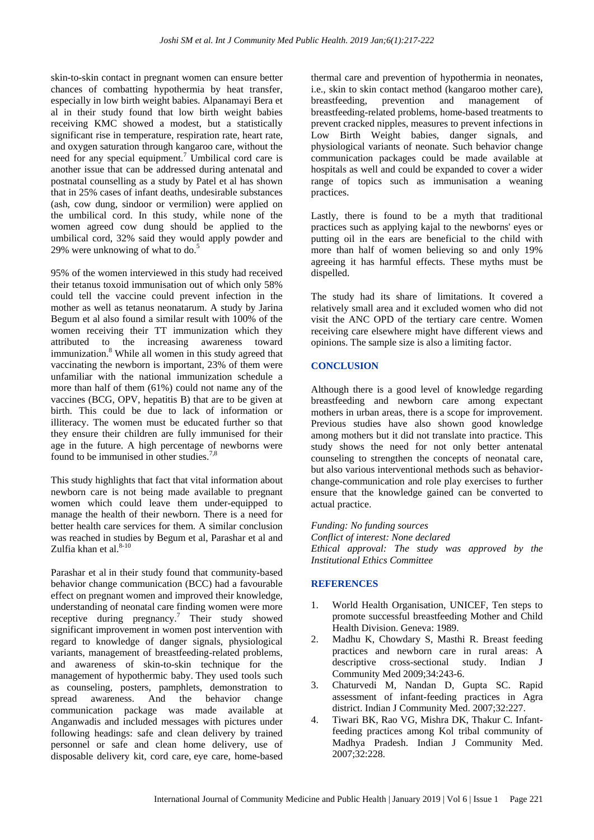skin-to-skin contact in pregnant women can ensure better chances of combatting hypothermia by heat transfer, especially in low birth weight babies. Alpanamayi Bera et al in their study found that low birth weight babies receiving KMC showed a modest, but a statistically significant rise in temperature, respiration rate, heart rate, and oxygen saturation through kangaroo care, without the need for any special equipment.<sup>7</sup> Umbilical cord care is another issue that can be addressed during antenatal and postnatal counselling as a study by Patel et al has shown that in 25% cases of infant deaths, undesirable substances (ash, cow dung, sindoor or vermilion) were applied on the umbilical cord. In this study, while none of the women agreed cow dung should be applied to the umbilical cord, 32% said they would apply powder and 29% were unknowing of what to do.<sup>5</sup>

95% of the women interviewed in this study had received their tetanus toxoid immunisation out of which only 58% could tell the vaccine could prevent infection in the mother as well as tetanus neonatarum. A study by Jarina Begum et al also found a similar result with 100% of the women receiving their TT immunization which they attributed to the increasing awareness toward immunization.<sup>8</sup> While all women in this study agreed that vaccinating the newborn is important, 23% of them were unfamiliar with the national immunization schedule a more than half of them (61%) could not name any of the vaccines (BCG, OPV, hepatitis B) that are to be given at birth. This could be due to lack of information or illiteracy. The women must be educated further so that they ensure their children are fully immunised for their age in the future. A high percentage of newborns were found to be immunised in other studies.<sup>7,8</sup>

This study highlights that fact that vital information about newborn care is not being made available to pregnant women which could leave them under-equipped to manage the health of their newborn. There is a need for better health care services for them. A similar conclusion was reached in studies by Begum et al, Parashar et al and Zulfia khan et al. $8-10$ 

Parashar et al in their study found that community-based behavior change communication (BCC) had a favourable effect on pregnant women and improved their knowledge, understanding of neonatal care finding women were more receptive during pregnancy.<sup>7</sup> Their study showed significant improvement in women post intervention with regard to knowledge of danger signals, physiological variants, management of breastfeeding-related problems, and awareness of skin-to-skin technique for the management of hypothermic baby. They used tools such as counseling, posters, pamphlets, demonstration to spread awareness. And the behavior change communication package was made available at Anganwadis and included messages with pictures under following headings: safe and clean delivery by trained personnel or safe and clean home delivery, use of disposable delivery kit, cord care, eye care, home-based thermal care and prevention of hypothermia in neonates, i.e., skin to skin contact method (kangaroo mother care), breastfeeding, prevention and management of breastfeeding-related problems, home-based treatments to prevent cracked nipples, measures to prevent infections in Low Birth Weight babies, danger signals, and physiological variants of neonate. Such behavior change communication packages could be made available at hospitals as well and could be expanded to cover a wider range of topics such as immunisation a weaning practices.

Lastly, there is found to be a myth that traditional practices such as applying kajal to the newborns' eyes or putting oil in the ears are beneficial to the child with more than half of women believing so and only 19% agreeing it has harmful effects. These myths must be dispelled.

The study had its share of limitations. It covered a relatively small area and it excluded women who did not visit the ANC OPD of the tertiary care centre. Women receiving care elsewhere might have different views and opinions. The sample size is also a limiting factor.

## **CONCLUSION**

Although there is a good level of knowledge regarding breastfeeding and newborn care among expectant mothers in urban areas, there is a scope for improvement. Previous studies have also shown good knowledge among mothers but it did not translate into practice. This study shows the need for not only better antenatal counseling to strengthen the concepts of neonatal care, but also various interventional methods such as behaviorchange-communication and role play exercises to further ensure that the knowledge gained can be converted to actual practice.

*Funding: No funding sources Conflict of interest: None declared Ethical approval: The study was approved by the Institutional Ethics Committee*

#### **REFERENCES**

- 1. World Health Organisation, UNICEF, Ten steps to promote successful breastfeeding Mother and Child Health Division. Geneva: 1989.
- 2. Madhu K, Chowdary S, Masthi R. Breast feeding practices and newborn care in rural areas: A descriptive cross-sectional study. Indian J Community Med 2009;34:243-6.
- 3. Chaturvedi M, Nandan D, Gupta SC. Rapid assessment of infant-feeding practices in Agra district. Indian J Community Med. 2007;32:227.
- 4. Tiwari BK, Rao VG, Mishra DK, Thakur C. Infantfeeding practices among Kol tribal community of Madhya Pradesh. Indian J Community Med. 2007;32:228.